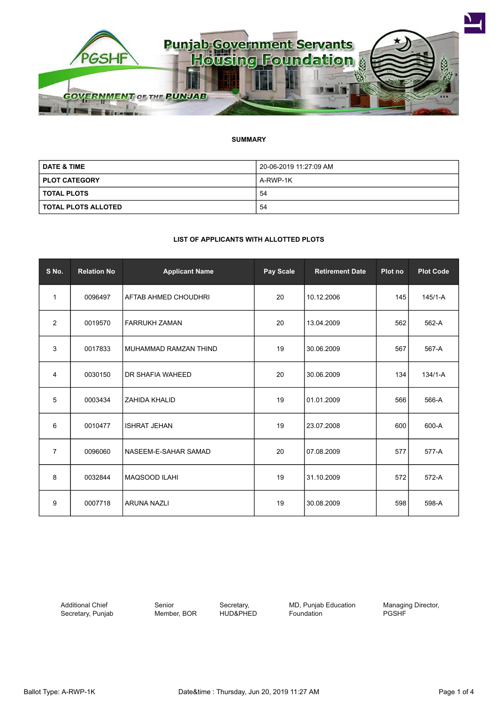

## **SUMMARY**

| <b>DATE &amp; TIME</b> | 20-06-2019 11:27:09 AM |
|------------------------|------------------------|
| <b>PLOT CATEGORY</b>   | A-RWP-1K               |
| I TOTAL PLOTS          | 54                     |
| I TOTAL PLOTS ALLOTED  | 54                     |

## **LIST OF APPLICANTS WITH ALLOTTED PLOTS**

| S No.          | <b>Relation No</b> | <b>Applicant Name</b>       | Pay Scale | <b>Retirement Date</b> | Plot no | <b>Plot Code</b> |
|----------------|--------------------|-----------------------------|-----------|------------------------|---------|------------------|
| 1              | 0096497            | <b>AFTAB AHMED CHOUDHRI</b> | 20        | 10.12.2006             | 145     | $145/1 - A$      |
| 2              | 0019570            | <b>FARRUKH ZAMAN</b>        | 20        | 13.04.2009             | 562     | 562-A            |
| 3              | 0017833            | MUHAMMAD RAMZAN THIND       | 19        | 30.06.2009             | 567     | 567-A            |
| 4              | 0030150            | DR SHAFIA WAHEED            | 20        | 30.06.2009             | 134     | $134/1 - A$      |
| 5              | 0003434            | <b>ZAHIDA KHALID</b>        | 19        | 01.01.2009             | 566     | 566-A            |
| 6              | 0010477            | <b>ISHRAT JEHAN</b>         | 19        | 23.07.2008             | 600     | 600-A            |
| $\overline{7}$ | 0096060            | NASEEM-E-SAHAR SAMAD        | 20        | 07.08.2009             | 577     | 577-A            |
| 8              | 0032844            | MAQSOOD ILAHI               | 19        | 31.10.2009             | 572     | 572-A            |
| 9              | 0007718            | <b>ARUNA NAZLI</b>          | 19        | 30.08.2009             | 598     | 598-A            |

Additional Chief Secretary, Punjab Senior Member, BOR

Secretary, HUD&PHED MD, Punjab Education Foundation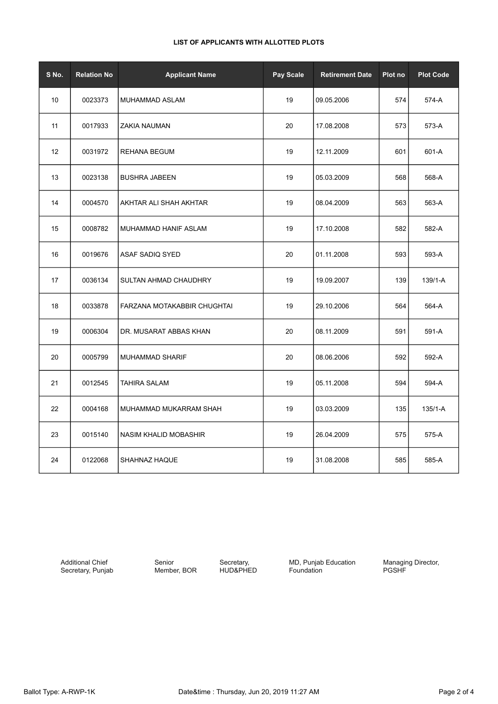|  | LIST OF APPLICANTS WITH ALLOTTED PLOTS |  |  |  |
|--|----------------------------------------|--|--|--|
|--|----------------------------------------|--|--|--|

| S No.           | <b>Relation No</b> | <b>Applicant Name</b>       | Pay Scale | <b>Retirement Date</b> | Plot no | <b>Plot Code</b> |
|-----------------|--------------------|-----------------------------|-----------|------------------------|---------|------------------|
| 10 <sup>°</sup> | 0023373            | MUHAMMAD ASLAM              | 19        | 09.05.2006             | 574     | 574-A            |
| 11              | 0017933            | <b>ZAKIA NAUMAN</b>         | 20        | 17.08.2008             | 573     | 573-A            |
| 12              | 0031972            | REHANA BEGUM                | 19        | 12.11.2009             | 601     | 601-A            |
| 13              | 0023138            | <b>BUSHRA JABEEN</b>        | 19        | 05.03.2009             | 568     | 568-A            |
| 14              | 0004570            | AKHTAR ALI SHAH AKHTAR      | 19        | 08.04.2009             | 563     | 563-A            |
| 15              | 0008782            | MUHAMMAD HANIF ASLAM        | 19        | 17.10.2008             | 582     | 582-A            |
| 16              | 0019676            | ASAF SADIQ SYED             | 20        | 01.11.2008             | 593     | 593-A            |
| 17              | 0036134            | SULTAN AHMAD CHAUDHRY       | 19        | 19.09.2007             | 139     | 139/1-A          |
| 18              | 0033878            | FARZANA MOTAKABBIR CHUGHTAI | 19        | 29.10.2006             | 564     | 564-A            |
| 19              | 0006304            | DR. MUSARAT ABBAS KHAN      | 20        | 08.11.2009             | 591     | 591-A            |
| 20              | 0005799            | <b>MUHAMMAD SHARIF</b>      | 20        | 08.06.2006             | 592     | 592-A            |
| 21              | 0012545            | <b>TAHIRA SALAM</b>         | 19        | 05.11.2008             | 594     | 594-A            |
| 22              | 0004168            | MUHAMMAD MUKARRAM SHAH      | 19        | 03.03.2009             | 135     | $135/1 - A$      |
| 23              | 0015140            | NASIM KHALID MOBASHIR       | 19        | 26.04.2009             | 575     | 575-A            |
| 24              | 0122068            | SHAHNAZ HAQUE               | 19        | 31.08.2008             | 585     | 585-A            |

Additional Chief Secretary, Punjab

Senior Member, BOR

Secretary, HUD&PHED MD, Punjab Education Foundation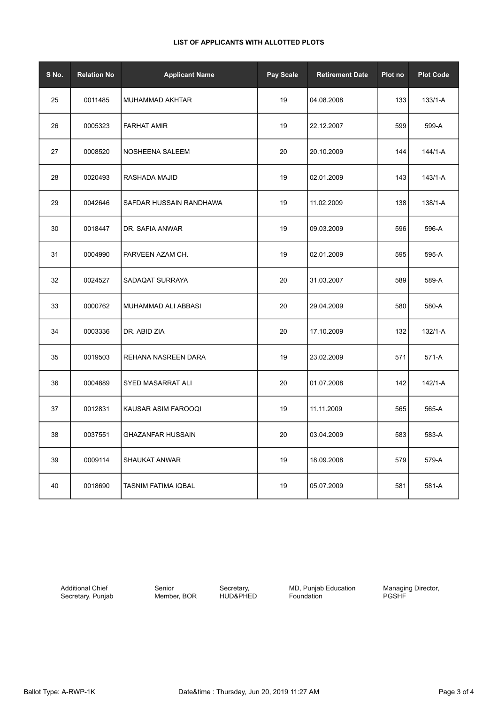## **LIST OF APPLICANTS WITH ALLOTTED PLOTS**

| S No. | <b>Relation No</b> | <b>Applicant Name</b>      | <b>Pay Scale</b> | <b>Retirement Date</b> | Plot no | <b>Plot Code</b> |
|-------|--------------------|----------------------------|------------------|------------------------|---------|------------------|
| 25    | 0011485            | MUHAMMAD AKHTAR            | 19               | 04.08.2008             | 133     | $133/1 - A$      |
| 26    | 0005323            | <b>FARHAT AMIR</b>         | 19               | 22.12.2007             | 599     | 599-A            |
| 27    | 0008520            | NOSHEENA SALEEM            | 20               | 20.10.2009             | 144     | 144/1-A          |
| 28    | 0020493            | RASHADA MAJID              | 19               | 02.01.2009             | 143     | 143/1-A          |
| 29    | 0042646            | SAFDAR HUSSAIN RANDHAWA    | 19               | 11.02.2009             | 138     | 138/1-A          |
| 30    | 0018447            | DR. SAFIA ANWAR            | 19               | 09.03.2009             | 596     | 596-A            |
| 31    | 0004990            | PARVEEN AZAM CH.           | 19               | 02.01.2009             | 595     | 595-A            |
| 32    | 0024527            | SADAQAT SURRAYA            | 20               | 31.03.2007             | 589     | 589-A            |
| 33    | 0000762            | MUHAMMAD ALI ABBASI        | 20               | 29.04.2009             | 580     | 580-A            |
| 34    | 0003336            | DR. ABID ZIA               | 20               | 17.10.2009             | 132     | 132/1-A          |
| 35    | 0019503            | REHANA NASREEN DARA        | 19               | 23.02.2009             | 571     | 571-A            |
| 36    | 0004889            | SYED MASARRAT ALI          | 20               | 01.07.2008             | 142     | 142/1-A          |
| 37    | 0012831            | KAUSAR ASIM FAROOQI        | 19               | 11.11.2009             | 565     | 565-A            |
| 38    | 0037551            | <b>GHAZANFAR HUSSAIN</b>   | 20               | 03.04.2009             | 583     | 583-A            |
| 39    | 0009114            | <b>SHAUKAT ANWAR</b>       | 19               | 18.09.2008             | 579     | 579-A            |
| 40    | 0018690            | <b>TASNIM FATIMA IQBAL</b> | 19               | 05.07.2009             | 581     | 581-A            |

Additional Chief Secretary, Punjab Senior Member, BOR

Secretary, HUD&PHED **MD, Punjab Education** Foundation